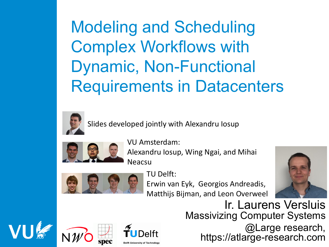Modeling and Scheduling Complex Workflows with Dynamic, Non-Functional Requirements in Datacenters



Slides developed jointly with Alexandru Iosup



VU Amsterdam: Alexandru Iosup, Wing Ngai, and Mihai Neacsu



TU Delft: Erwin van Eyk, Georgios Andreadis, Matthijs Bijman, and Leon Overweel



1 https://atlarge-research.com Ir. Laurens Versluis Massivizing Computer Systems @Large research,





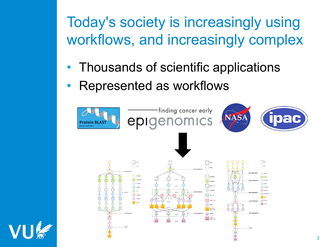# Today's society is increasingly using workflows, and increasingly complex

- Thousands of scientific applications
- Represented as workflows



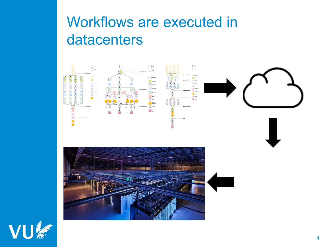#### Workflows are executed in datacenters



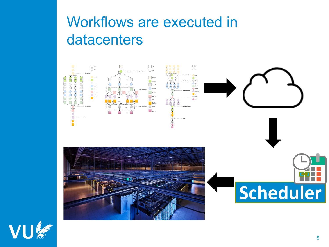#### Workflows are executed in datacenters



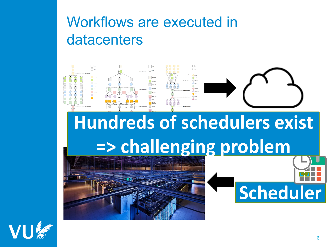#### Workflows are executed in datacenters



# **Hundreds of schedulers exist => challenging problem**





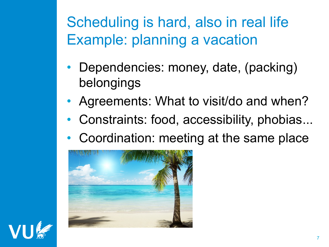Scheduling is hard, also in real life Example: planning a vacation

- Dependencies: money, date, (packing) belongings
- Agreements: What to visit/do and when?
- Constraints: food, accessibility, phobias...
- Coordination: meeting at the same place



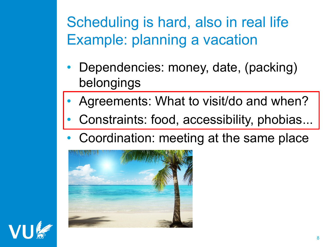Scheduling is hard, also in real life Example: planning a vacation

- Dependencies: money, date, (packing) belongings
- Agreements: What to visit/do and when?
- Constraints: food, accessibility, phobias...
- Coordination: meeting at the same place



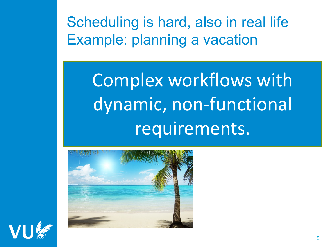Scheduling is hard, also in real life Example: planning a vacation

• Dependencies: money, date, (packing) Complex workflows with edynamic, non-functional • Constraints: food, accessibility, phobias... • Coordination: meeting at the same place requirements.



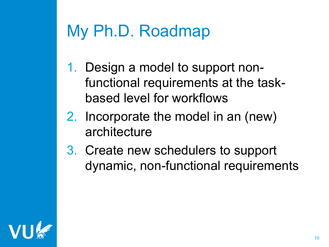# My Ph.D. Roadmap

- 1. Design a model to support nonfunctional requirements at the taskbased level for workflows
- 2. Incorporate the model in an (new) architecture
- 3. Create new schedulers to support dynamic, non-functional requirements

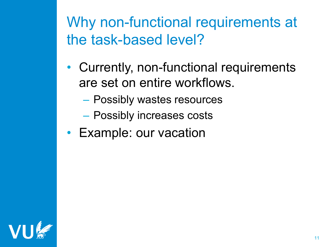- Currently, non-functional requirements are set on entire workflows.
	- Possibly wastes resources
	- Possibly increases costs
- Example: our vacation

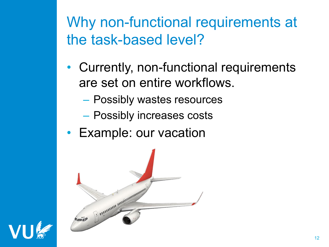- Currently, non-functional requirements are set on entire workflows.
	- Possibly wastes resources
	- Possibly increases costs
- Example: our vacation



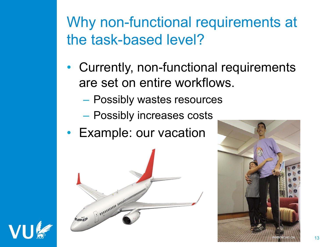- Currently, non-functional requirements are set on entire workflows.
	- Possibly wastes resources
	- Possibly increases costs
- Example: our vacation



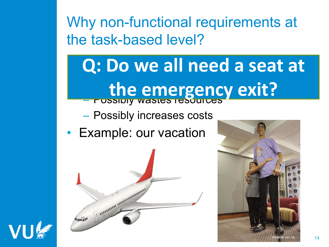#### **Q: Do we all need a seat at** are set on the concentration of the workflows. – Possibly wastes resources **the emergency exit?**

- Possibly increases costs
- Example: our vacation



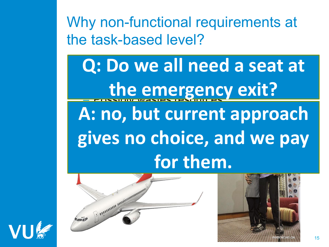**Q: Do we all need a seat at** are set on the concentration of the workflows. – Possibly wastes resources 4: no, but currer **gives no choice, and we pay the emergency exit? A: no, but current approach for them.**





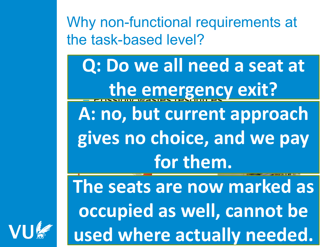**Q: Do we all need a seat at** are set on the concentration of the workflows. – Possibly wastes resources 4: no, but currer **gives no choice, and we pay the emergency exit? A: no, but current approach for them.**

**The seats are now marked as occupied as well, cannot be used where actually needed.**

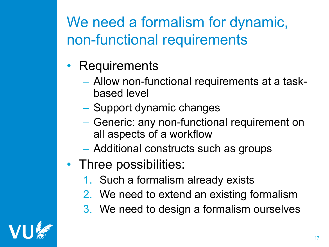# We need a formalism for dynamic, non-functional requirements

- Requirements
	- Allow non-functional requirements at a taskbased level
	- Support dynamic changes
	- Generic: any non-functional requirement on all aspects of a workflow
	- Additional constructs such as groups
- Three possibilities:
	- 1. Such a formalism already exists
	- 2. We need to extend an existing formalism
	- 3. We need to design a formalism ourselves

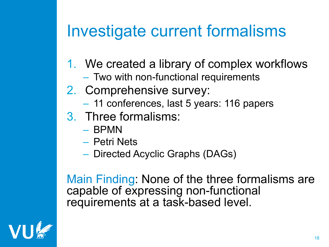# Investigate current formalisms

- 1. We created a library of complex workflows
	- Two with non-functional requirements
- 2. Comprehensive survey:
	- 11 conferences, last 5 years: 116 papers
- 3. Three formalisms:
	- BPMN
	- Petri Nets
	- Directed Acyclic Graphs (DAGs)

Main Finding: None of the three formalisms are capable of expressing non-functional requirements at a task-based level.

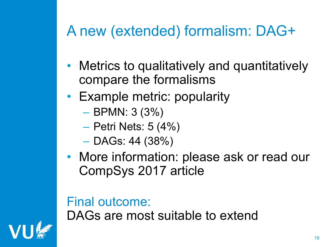## A new (extended) formalism: DAG+

- Metrics to qualitatively and quantitatively compare the formalisms
- Example metric: popularity
	- $-$  BPMN: 3 (3%)
	- Petri Nets: 5 (4%)
	- DAGs: 44 (38%)
- More information: please ask or read our CompSys 2017 article

Final outcome: DAGs are most suitable to extend

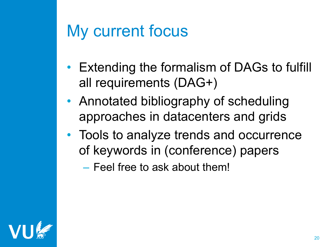# My current focus

- Extending the formalism of DAGs to fulfill all requirements (DAG+)
- Annotated bibliography of scheduling approaches in datacenters and grids
- Tools to analyze trends and occurrence of keywords in (conference) papers

– Feel free to ask about them!

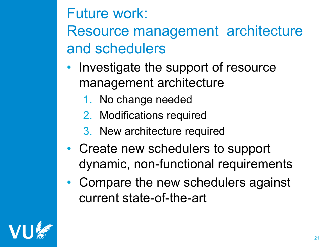Future work: Resource management architecture and schedulers

- Investigate the support of resource management architecture
	- 1. No change needed
	- 2. Modifications required
	- 3. New architecture required
- Create new schedulers to support dynamic, non-functional requirements
- Compare the new schedulers against current state-of-the-art

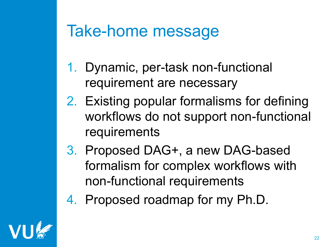# Take-home message

- 1. Dynamic, per-task non-functional requirement are necessary
- 2. Existing popular formalisms for defining workflows do not support non-functional requirements
- 3. Proposed DAG+, a new DAG-based formalism for complex workflows with non-functional requirements
- 4. Proposed roadmap for my Ph.D.

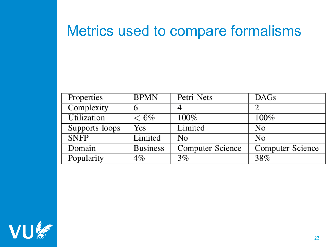#### Metrics used to compare formalisms

| Properties     | <b>BPMN</b>     | Petri Nets       | <b>DAGs</b>      |
|----------------|-----------------|------------------|------------------|
| Complexity     |                 |                  | $\mathcal{D}$    |
| Utilization    | $< 6\%$         | $100\%$          | $100\%$          |
| Supports loops | Yes             | Limited          | N <sub>0</sub>   |
| <b>SNFP</b>    | Limited         | No               | N <sub>0</sub>   |
| Domain         | <b>Business</b> | Computer Science | Computer Science |
| Popularity     | $4\%$           | $3\%$            | 38%              |